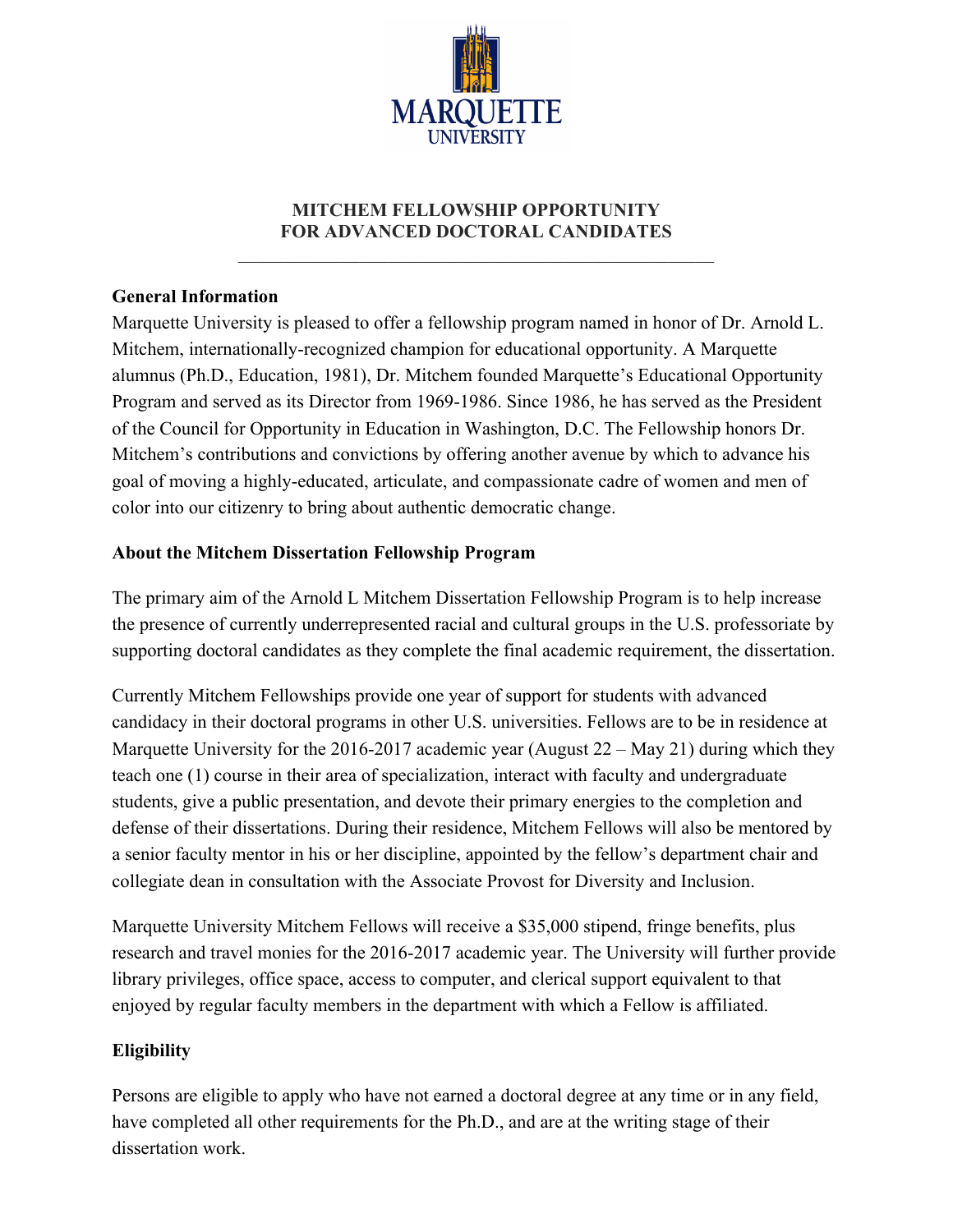

## **MITCHEM FELLOWSHIP OPPORTUNITY FOR ADVANCED DOCTORAL CANDIDATES**

 $\mathcal{L}_\text{max}$  , and the set of the set of the set of the set of the set of the set of the set of the set of the set of

## **General Information**

Marquette University is pleased to offer a fellowship program named in honor of Dr. Arnold L. Mitchem, internationally-recognized champion for educational opportunity. A Marquette alumnus (Ph.D., Education, 1981), Dr. Mitchem founded Marquette's Educational Opportunity Program and served as its Director from 1969-1986. Since 1986, he has served as the President of the Council for Opportunity in Education in Washington, D.C. The Fellowship honors Dr. Mitchem's contributions and convictions by offering another avenue by which to advance his goal of moving a highly-educated, articulate, and compassionate cadre of women and men of color into our citizenry to bring about authentic democratic change.

## **About the Mitchem Dissertation Fellowship Program**

The primary aim of the Arnold L Mitchem Dissertation Fellowship Program is to help increase the presence of currently underrepresented racial and cultural groups in the U.S. professoriate by supporting doctoral candidates as they complete the final academic requirement, the dissertation.

Currently Mitchem Fellowships provide one year of support for students with advanced candidacy in their doctoral programs in other U.S. universities. Fellows are to be in residence at Marquette University for the 2016-2017 academic year (August  $22 -$  May 21) during which they teach one (1) course in their area of specialization, interact with faculty and undergraduate students, give a public presentation, and devote their primary energies to the completion and defense of their dissertations. During their residence, Mitchem Fellows will also be mentored by a senior faculty mentor in his or her discipline, appointed by the fellow's department chair and collegiate dean in consultation with the Associate Provost for Diversity and Inclusion.

Marquette University Mitchem Fellows will receive a \$35,000 stipend, fringe benefits, plus research and travel monies for the 2016-2017 academic year. The University will further provide library privileges, office space, access to computer, and clerical support equivalent to that enjoyed by regular faculty members in the department with which a Fellow is affiliated.

## **Eligibility**

Persons are eligible to apply who have not earned a doctoral degree at any time or in any field, have completed all other requirements for the Ph.D., and are at the writing stage of their dissertation work.